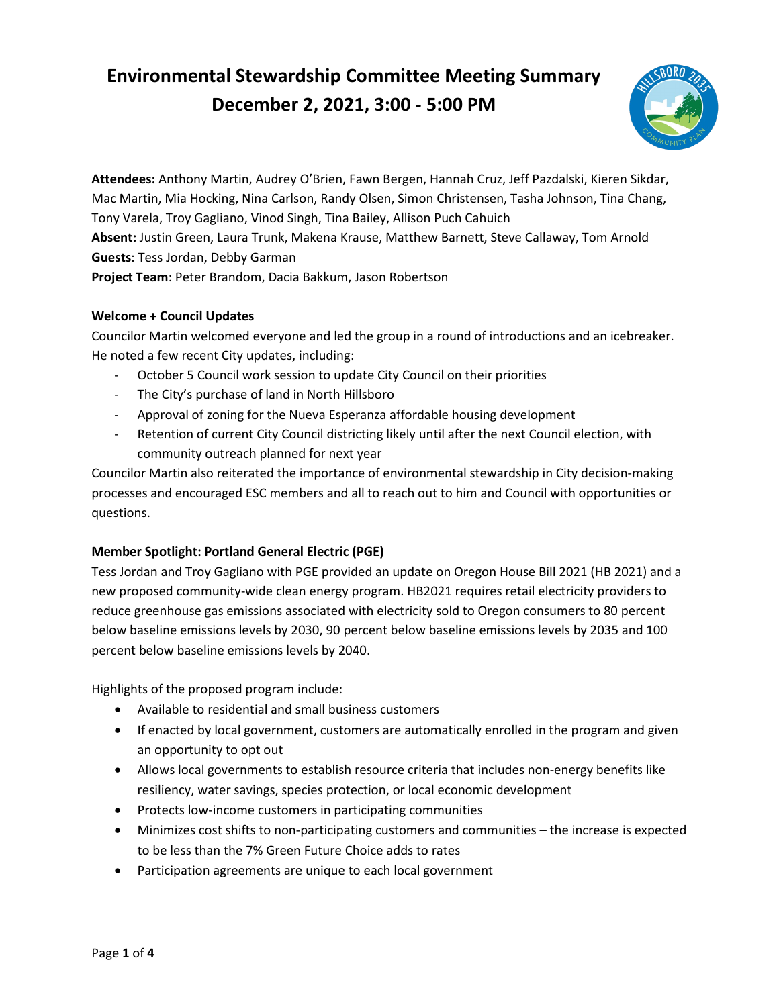# **Environmental Stewardship Committee Meeting Summary December 2, 2021, 3:00 - 5:00 PM**



 Mac Martin, Mia Hocking, Nina Carlson, Randy Olsen, Simon Christensen, Tasha Johnson, Tina Chang, **Attendees:** Anthony Martin, Audrey O'Brien, Fawn Bergen, Hannah Cruz, Jeff Pazdalski, Kieren Sikdar, Tony Varela, Troy Gagliano, Vinod Singh, Tina Bailey, Allison Puch Cahuich **Absent:** Justin Green, Laura Trunk, Makena Krause, Matthew Barnett, Steve Callaway, Tom Arnold **Guests**: Tess Jordan, Debby Garman **Project Team**: Peter Brandom, Dacia Bakkum, Jason Robertson

## **Welcome + Council Updates**

 Councilor Martin welcomed everyone and led the group in a round of introductions and an icebreaker. He noted a few recent City updates, including:

- October 5 Council work session to update City Council on their priorities
- The City's purchase of land in North Hillsboro
- Approval of zoning for the Nueva Esperanza affordable housing development
- Retention of current City Council districting likely until after the next Council election, with community outreach planned for next year

 processes and encouraged ESC members and all to reach out to him and Council with opportunities or Councilor Martin also reiterated the importance of environmental stewardship in City decision-making questions.

## **Member Spotlight: Portland General Electric (PGE)**

 Tess Jordan and Troy Gagliano with PGE provided an update on Oregon House Bill 2021 (HB 2021) and a below baseline emissions levels by 2030, 90 percent below baseline emissions levels by 2035 and 100 percent below baseline emissions levels by 2040. new proposed community-wide clean energy program. HB2021 requires retail electricity providers to reduce greenhouse gas emissions associated with electricity sold to Oregon consumers to 80 percent

Highlights of the proposed program include:

- Available to residential and small business customers
- • If enacted by local government, customers are automatically enrolled in the program and given an opportunity to opt out
- • Allows local governments to establish resource criteria that includes non-energy benefits like resiliency, water savings, species protection, or local economic development
- Protects low-income customers in participating communities
- • Minimizes cost shifts to non-participating customers and communities the increase is expected to be less than the 7% Green Future Choice adds to rates
- Participation agreements are unique to each local government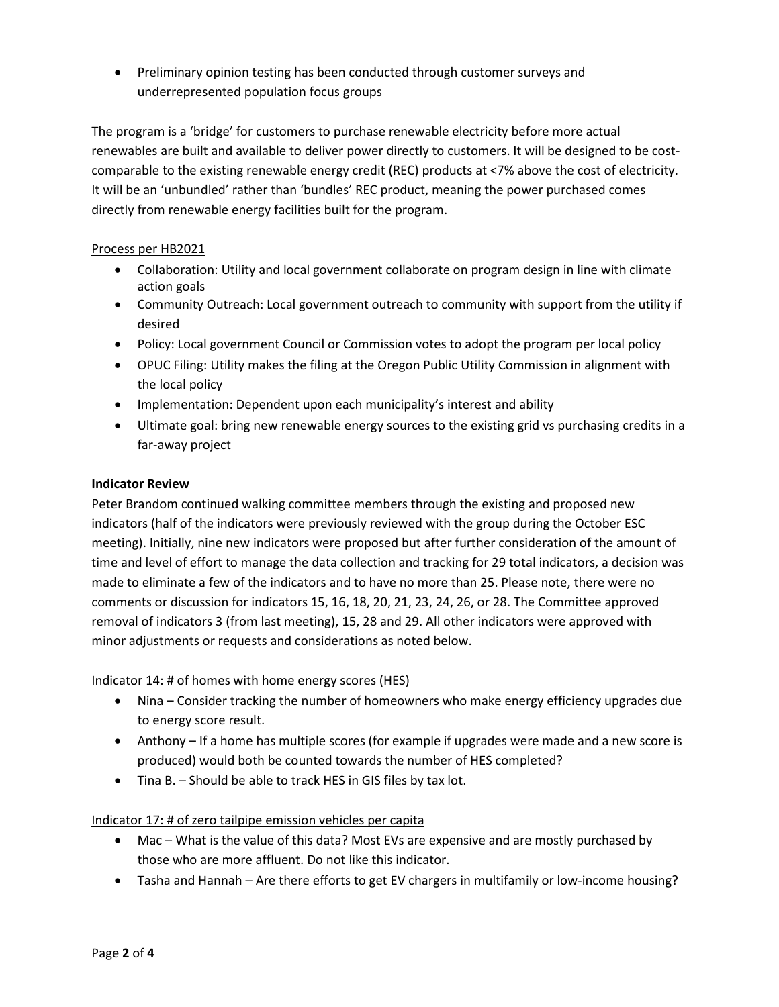• Preliminary opinion testing has been conducted through customer surveys and underrepresented population focus groups

 comparable to the existing renewable energy credit (REC) products at <7% above the cost of electricity. The program is a 'bridge' for customers to purchase renewable electricity before more actual renewables are built and available to deliver power directly to customers. It will be designed to be cost-It will be an 'unbundled' rather than 'bundles' REC product, meaning the power purchased comes directly from renewable energy facilities built for the program.

#### Process per HB2021

- • Collaboration: Utility and local government collaborate on program design in line with climate action goals
- Community Outreach: Local government outreach to community with support from the utility if desired
- Policy: Local government Council or Commission votes to adopt the program per local policy
- • OPUC Filing: Utility makes the filing at the Oregon Public Utility Commission in alignment with the local policy
- Implementation: Dependent upon each municipality's interest and ability
- • Ultimate goal: bring new renewable energy sources to the existing grid vs purchasing credits in a far-away project

## **Indicator Review**

 time and level of effort to manage the data collection and tracking for 29 total indicators, a decision was made to eliminate a few of the indicators and to have no more than 25. Please note, there were no comments or discussion for indicators 15, 16, 18, 20, 21, 23, 24, 26, or 28. The Committee approved removal of indicators 3 (from last meeting), 15, 28 and 29. All other indicators were approved with Peter Brandom continued walking committee members through the existing and proposed new indicators (half of the indicators were previously reviewed with the group during the October ESC meeting). Initially, nine new indicators were proposed but after further consideration of the amount of minor adjustments or requests and considerations as noted below.

## Indicator 14: # of homes with home energy scores (HES)

- • Nina Consider tracking the number of homeowners who make energy efficiency upgrades due to energy score result.
- • Anthony If a home has multiple scores (for example if upgrades were made and a new score is produced) would both be counted towards the number of HES completed?
- Tina B. Should be able to track HES in GIS files by tax lot.

## Indicator 17: # of zero tailpipe emission vehicles per capita

- • Mac What is the value of this data? Most EVs are expensive and are mostly purchased by those who are more affluent. Do not like this indicator.
- Tasha and Hannah Are there efforts to get EV chargers in multifamily or low-income housing?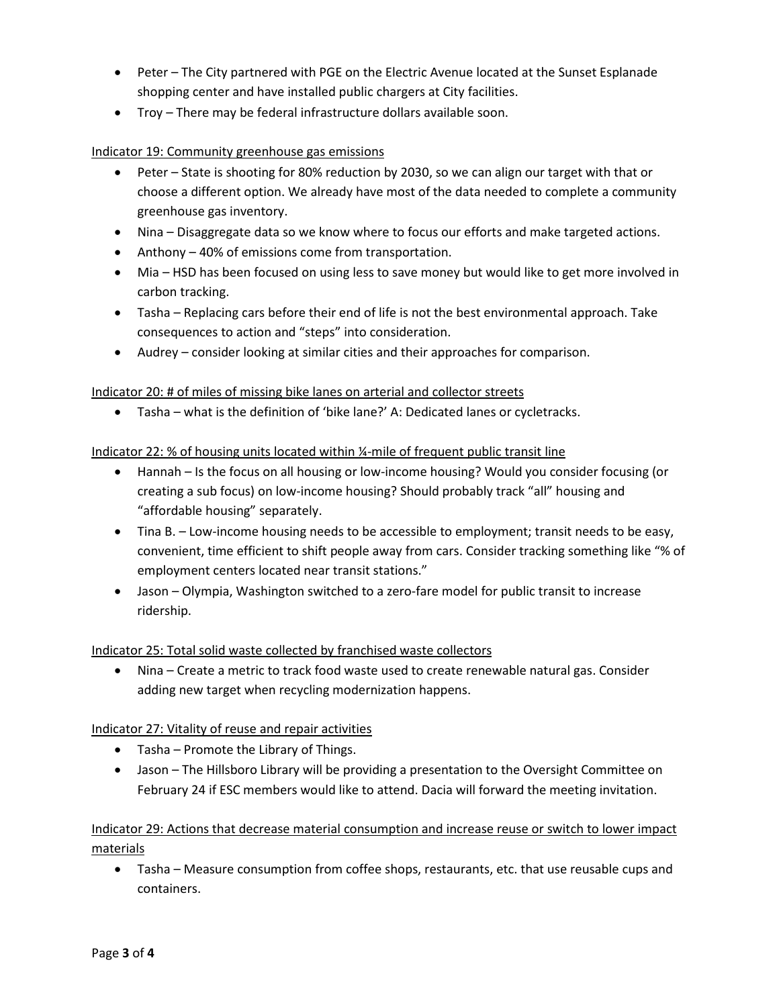- • Peter The City partnered with PGE on the Electric Avenue located at the Sunset Esplanade shopping center and have installed public chargers at City facilities.
- Troy There may be federal infrastructure dollars available soon.

#### Indicator 19: Community greenhouse gas emissions

- • Peter State is shooting for 80% reduction by 2030, so we can align our target with that or choose a different option. We already have most of the data needed to complete a community greenhouse gas inventory.
- Nina Disaggregate data so we know where to focus our efforts and make targeted actions.
- Anthony 40% of emissions come from transportation.
- • Mia HSD has been focused on using less to save money but would like to get more involved in carbon tracking.
- Tasha Replacing cars before their end of life is not the best environmental approach. Take consequences to action and "steps" into consideration.
- Audrey consider looking at similar cities and their approaches for comparison.

#### Indicator 20: # of miles of missing bike lanes on arterial and collector streets

• Tasha – what is the definition of 'bike lane?' A: Dedicated lanes or cycletracks.

#### Indicator 22: % of housing units located within ¼-mile of frequent public transit line

- Hannah Is the focus on all housing or low-income housing? Would you consider focusing (or creating a sub focus) on low-income housing? Should probably track "all" housing and "affordable housing" separately.
- convenient, time efficient to shift people away from cars. Consider tracking something like "% of • Tina B. – Low-income housing needs to be accessible to employment; transit needs to be easy, employment centers located near transit stations."
- • Jason Olympia, Washington switched to a zero-fare model for public transit to increase ridership.

#### Indicator 25: Total solid waste collected by franchised waste collectors

• Nina – Create a metric to track food waste used to create renewable natural gas. Consider adding new target when recycling modernization happens.

## Indicator 27: Vitality of reuse and repair activities

- Tasha Promote the Library of Things.
- • Jason The Hillsboro Library will be providing a presentation to the Oversight Committee on February 24 if ESC members would like to attend. Dacia will forward the meeting invitation.

## Indicator 29: Actions that decrease material consumption and increase reuse or switch to lower impact materials

• Tasha – Measure consumption from coffee shops, restaurants, etc. that use reusable cups and containers.